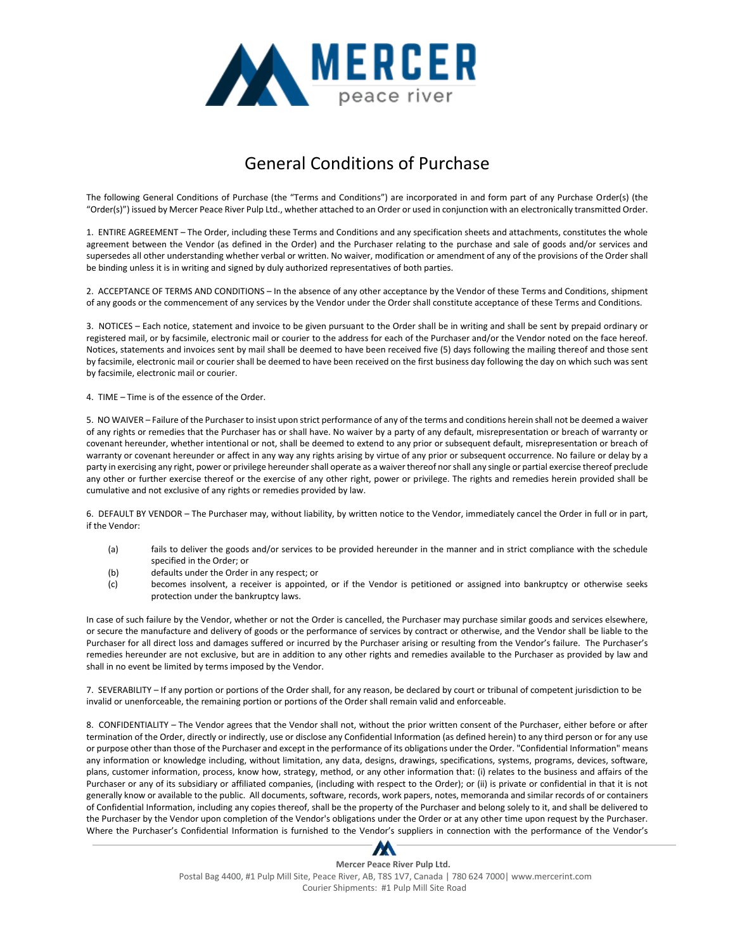

## General Conditions of Purchase

The following General Conditions of Purchase (the "Terms and Conditions") are incorporated in and form part of any Purchase Order(s) (the "Order(s)") issued by Mercer Peace River Pulp Ltd., whether attached to an Order or used in conjunction with an electronically transmitted Order.

1. ENTIRE AGREEMENT – The Order, including these Terms and Conditions and any specification sheets and attachments, constitutes the whole agreement between the Vendor (as defined in the Order) and the Purchaser relating to the purchase and sale of goods and/or services and supersedes all other understanding whether verbal or written. No waiver, modification or amendment of any of the provisions of the Order shall be binding unless it is in writing and signed by duly authorized representatives of both parties.

2. ACCEPTANCE OF TERMS AND CONDITIONS – In the absence of any other acceptance by the Vendor of these Terms and Conditions, shipment of any goods or the commencement of any services by the Vendor under the Order shall constitute acceptance of these Terms and Conditions.

3. NOTICES – Each notice, statement and invoice to be given pursuant to the Order shall be in writing and shall be sent by prepaid ordinary or registered mail, or by facsimile, electronic mail or courier to the address for each of the Purchaser and/or the Vendor noted on the face hereof. Notices, statements and invoices sent by mail shall be deemed to have been received five (5) days following the mailing thereof and those sent by facsimile, electronic mail or courier shall be deemed to have been received on the first business day following the day on which such was sent by facsimile, electronic mail or courier.

4. TIME – Time is of the essence of the Order.

5. NO WAIVER – Failure of the Purchaser to insist upon strict performance of any of the terms and conditions herein shall not be deemed a waiver of any rights or remedies that the Purchaser has or shall have. No waiver by a party of any default, misrepresentation or breach of warranty or covenant hereunder, whether intentional or not, shall be deemed to extend to any prior or subsequent default, misrepresentation or breach of warranty or covenant hereunder or affect in any way any rights arising by virtue of any prior or subsequent occurrence. No failure or delay by a party in exercising any right, power or privilege hereunder shall operate as a waiver thereof nor shall any single or partial exercise thereof preclude any other or further exercise thereof or the exercise of any other right, power or privilege. The rights and remedies herein provided shall be cumulative and not exclusive of any rights or remedies provided by law.

6. DEFAULT BY VENDOR – The Purchaser may, without liability, by written notice to the Vendor, immediately cancel the Order in full or in part, if the Vendor:

- (a) fails to deliver the goods and/or services to be provided hereunder in the manner and in strict compliance with the schedule specified in the Order; or
- (b) defaults under the Order in any respect; or
- (c) becomes insolvent, a receiver is appointed, or if the Vendor is petitioned or assigned into bankruptcy or otherwise seeks protection under the bankruptcy laws.

In case of such failure by the Vendor, whether or not the Order is cancelled, the Purchaser may purchase similar goods and services elsewhere, or secure the manufacture and delivery of goods or the performance of services by contract or otherwise, and the Vendor shall be liable to the Purchaser for all direct loss and damages suffered or incurred by the Purchaser arising or resulting from the Vendor's failure. The Purchaser's remedies hereunder are not exclusive, but are in addition to any other rights and remedies available to the Purchaser as provided by law and shall in no event be limited by terms imposed by the Vendor.

7. SEVERABILITY – If any portion or portions of the Order shall, for any reason, be declared by court or tribunal of competent jurisdiction to be invalid or unenforceable, the remaining portion or portions of the Order shall remain valid and enforceable.

8. CONFIDENTIALITY – The Vendor agrees that the Vendor shall not, without the prior written consent of the Purchaser, either before or after termination of the Order, directly or indirectly, use or disclose any Confidential Information (as defined herein) to any third person or for any use or purpose other than those of the Purchaser and except in the performance of its obligations under the Order. "Confidential Information" means any information or knowledge including, without limitation, any data, designs, drawings, specifications, systems, programs, devices, software, plans, customer information, process, know how, strategy, method, or any other information that: (i) relates to the business and affairs of the Purchaser or any of its subsidiary or affiliated companies, (including with respect to the Order); or (ii) is private or confidential in that it is not generally know or available to the public. All documents, software, records, work papers, notes, memoranda and similar records of or containers of Confidential Information, including any copies thereof, shall be the property of the Purchaser and belong solely to it, and shall be delivered to the Purchaser by the Vendor upon completion of the Vendor's obligations under the Order or at any other time upon request by the Purchaser. Where the Purchaser's Confidential Information is furnished to the Vendor's suppliers in connection with the performance of the Vendor's

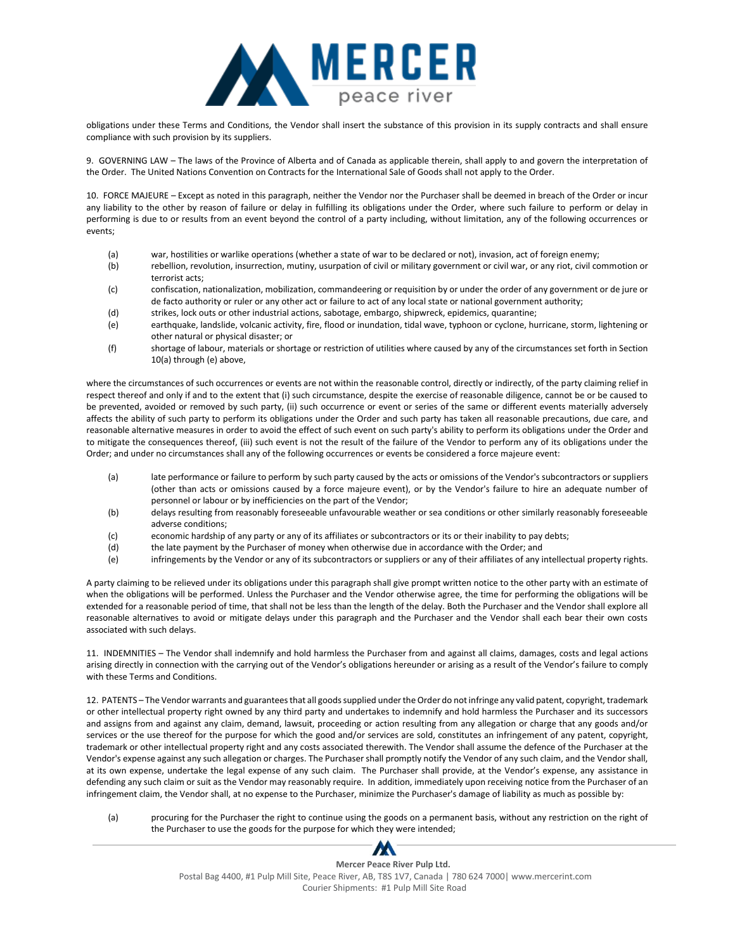

obligations under these Terms and Conditions, the Vendor shall insert the substance of this provision in its supply contracts and shall ensure compliance with such provision by its suppliers.

9. GOVERNING LAW – The laws of the Province of Alberta and of Canada as applicable therein, shall apply to and govern the interpretation of the Order. The United Nations Convention on Contracts for the International Sale of Goods shall not apply to the Order.

10. FORCE MAJEURE – Except as noted in this paragraph, neither the Vendor nor the Purchaser shall be deemed in breach of the Order or incur any liability to the other by reason of failure or delay in fulfilling its obligations under the Order, where such failure to perform or delay in performing is due to or results from an event beyond the control of a party including, without limitation, any of the following occurrences or events;

- (a) war, hostilities or warlike operations (whether a state of war to be declared or not), invasion, act of foreign enemy;
- (b) rebellion, revolution, insurrection, mutiny, usurpation of civil or military government or civil war, or any riot, civil commotion or terrorist acts;
- (c) confiscation, nationalization, mobilization, commandeering or requisition by or under the order of any government or de jure or de facto authority or ruler or any other act or failure to act of any local state or national government authority;
- (d) strikes, lock outs or other industrial actions, sabotage, embargo, shipwreck, epidemics, quarantine;
- (e) earthquake, landslide, volcanic activity, fire, flood or inundation, tidal wave, typhoon or cyclone, hurricane, storm, lightening or other natural or physical disaster; or
- (f) shortage of labour, materials or shortage or restriction of utilities where caused by any of the circumstances set forth in Section 10(a) through (e) above,

where the circumstances of such occurrences or events are not within the reasonable control, directly or indirectly, of the party claiming relief in respect thereof and only if and to the extent that (i) such circumstance, despite the exercise of reasonable diligence, cannot be or be caused to be prevented, avoided or removed by such party, (ii) such occurrence or event or series of the same or different events materially adversely affects the ability of such party to perform its obligations under the Order and such party has taken all reasonable precautions, due care, and reasonable alternative measures in order to avoid the effect of such event on such party's ability to perform its obligations under the Order and to mitigate the consequences thereof, (iii) such event is not the result of the failure of the Vendor to perform any of its obligations under the Order; and under no circumstances shall any of the following occurrences or events be considered a force majeure event:

- (a) late performance or failure to perform by such party caused by the acts or omissions of the Vendor's subcontractors or suppliers (other than acts or omissions caused by a force majeure event), or by the Vendor's failure to hire an adequate number of personnel or labour or by inefficiencies on the part of the Vendor;
- (b) delays resulting from reasonably foreseeable unfavourable weather or sea conditions or other similarly reasonably foreseeable adverse conditions;
- (c) economic hardship of any party or any of its affiliates or subcontractors or its or their inability to pay debts;
- (d) the late payment by the Purchaser of money when otherwise due in accordance with the Order; and
- (e) infringements by the Vendor or any of its subcontractors or suppliers or any of their affiliates of any intellectual property rights.

A party claiming to be relieved under its obligations under this paragraph shall give prompt written notice to the other party with an estimate of when the obligations will be performed. Unless the Purchaser and the Vendor otherwise agree, the time for performing the obligations will be extended for a reasonable period of time, that shall not be less than the length of the delay. Both the Purchaser and the Vendor shall explore all reasonable alternatives to avoid or mitigate delays under this paragraph and the Purchaser and the Vendor shall each bear their own costs associated with such delays.

11. INDEMNITIES – The Vendor shall indemnify and hold harmless the Purchaser from and against all claims, damages, costs and legal actions arising directly in connection with the carrying out of the Vendor's obligations hereunder or arising as a result of the Vendor's failure to comply with these Terms and Conditions.

12. PATENTS – The Vendor warrants and guarantees that all goods supplied under the Order do not infringe any valid patent, copyright, trademark or other intellectual property right owned by any third party and undertakes to indemnify and hold harmless the Purchaser and its successors and assigns from and against any claim, demand, lawsuit, proceeding or action resulting from any allegation or charge that any goods and/or services or the use thereof for the purpose for which the good and/or services are sold, constitutes an infringement of any patent, copyright, trademark or other intellectual property right and any costs associated therewith. The Vendor shall assume the defence of the Purchaser at the Vendor's expense against any such allegation or charges. The Purchaser shall promptly notify the Vendor of any such claim, and the Vendor shall, at its own expense, undertake the legal expense of any such claim. The Purchaser shall provide, at the Vendor's expense, any assistance in defending any such claim or suit as the Vendor may reasonably require. In addition, immediately upon receiving notice from the Purchaser of an infringement claim, the Vendor shall, at no expense to the Purchaser, minimize the Purchaser's damage of liability as much as possible by:

(a) procuring for the Purchaser the right to continue using the goods on a permanent basis, without any restriction on the right of the Purchaser to use the goods for the purpose for which they were intended;

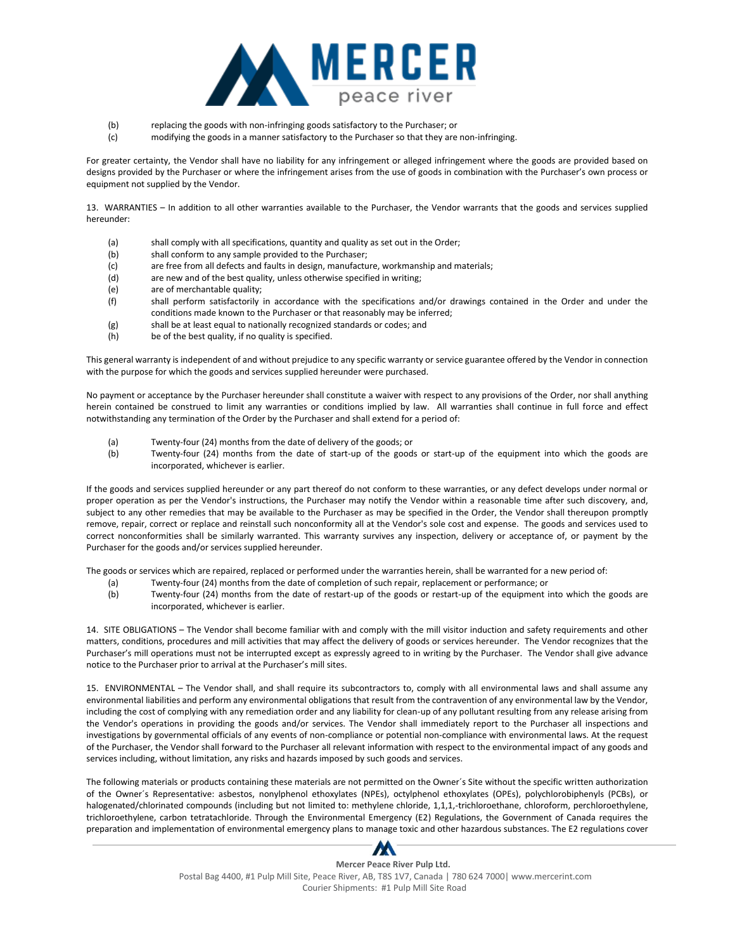

- (b) replacing the goods with non-infringing goods satisfactory to the Purchaser; or
- (c) modifying the goods in a manner satisfactory to the Purchaser so that they are non-infringing.

For greater certainty, the Vendor shall have no liability for any infringement or alleged infringement where the goods are provided based on designs provided by the Purchaser or where the infringement arises from the use of goods in combination with the Purchaser's own process or equipment not supplied by the Vendor.

13. WARRANTIES – In addition to all other warranties available to the Purchaser, the Vendor warrants that the goods and services supplied hereunder:

- (a) shall comply with all specifications, quantity and quality as set out in the Order;
- (b) shall conform to any sample provided to the Purchaser;
- (c) are free from all defects and faults in design, manufacture, workmanship and materials;
- (d) are new and of the best quality, unless otherwise specified in writing;
- (e) are of merchantable quality;
- (f) shall perform satisfactorily in accordance with the specifications and/or drawings contained in the Order and under the conditions made known to the Purchaser or that reasonably may be inferred;
- (g) shall be at least equal to nationally recognized standards or codes; and
- (h) be of the best quality, if no quality is specified.

This general warranty is independent of and without prejudice to any specific warranty or service guarantee offered by the Vendor in connection with the purpose for which the goods and services supplied hereunder were purchased.

No payment or acceptance by the Purchaser hereunder shall constitute a waiver with respect to any provisions of the Order, nor shall anything herein contained be construed to limit any warranties or conditions implied by law. All warranties shall continue in full force and effect notwithstanding any termination of the Order by the Purchaser and shall extend for a period of:

- (a) Twenty-four (24) months from the date of delivery of the goods; or
- (b) Twenty-four (24) months from the date of start-up of the goods or start-up of the equipment into which the goods are incorporated, whichever is earlier.

If the goods and services supplied hereunder or any part thereof do not conform to these warranties, or any defect develops under normal or proper operation as per the Vendor's instructions, the Purchaser may notify the Vendor within a reasonable time after such discovery, and, subject to any other remedies that may be available to the Purchaser as may be specified in the Order, the Vendor shall thereupon promptly remove, repair, correct or replace and reinstall such nonconformity all at the Vendor's sole cost and expense. The goods and services used to correct nonconformities shall be similarly warranted. This warranty survives any inspection, delivery or acceptance of, or payment by the Purchaser for the goods and/or services supplied hereunder.

The goods or services which are repaired, replaced or performed under the warranties herein, shall be warranted for a new period of:

- (a) Twenty-four (24) months from the date of completion of such repair, replacement or performance; or
- (b) Twenty-four (24) months from the date of restart-up of the goods or restart-up of the equipment into which the goods are incorporated, whichever is earlier.

14. SITE OBLIGATIONS – The Vendor shall become familiar with and comply with the mill visitor induction and safety requirements and other matters, conditions, procedures and mill activities that may affect the delivery of goods or services hereunder. The Vendor recognizes that the Purchaser's mill operations must not be interrupted except as expressly agreed to in writing by the Purchaser. The Vendor shall give advance notice to the Purchaser prior to arrival at the Purchaser's mill sites.

15. ENVIRONMENTAL – The Vendor shall, and shall require its subcontractors to, comply with all environmental laws and shall assume any environmental liabilities and perform any environmental obligations that result from the contravention of any environmental law by the Vendor, including the cost of complying with any remediation order and any liability for clean-up of any pollutant resulting from any release arising from the Vendor's operations in providing the goods and/or services. The Vendor shall immediately report to the Purchaser all inspections and investigations by governmental officials of any events of non-compliance or potential non-compliance with environmental laws. At the request of the Purchaser, the Vendor shall forward to the Purchaser all relevant information with respect to the environmental impact of any goods and services including, without limitation, any risks and hazards imposed by such goods and services.

The following materials or products containing these materials are not permitted on the Owner´s Site without the specific written authorization of the Owner´s Representative: asbestos, nonylphenol ethoxylates (NPEs), octylphenol ethoxylates (OPEs), polychlorobiphenyls (PCBs), or halogenated/chlorinated compounds (including but not limited to: methylene chloride, 1,1,1,‐trichloroethane, chloroform, perchloroethylene, trichloroethylene, carbon tetratachloride. Through the Environmental Emergency (E2) Regulations, the Government of Canada requires the preparation and implementation of environmental emergency plans to manage toxic and other hazardous substances. The E2 regulations cover

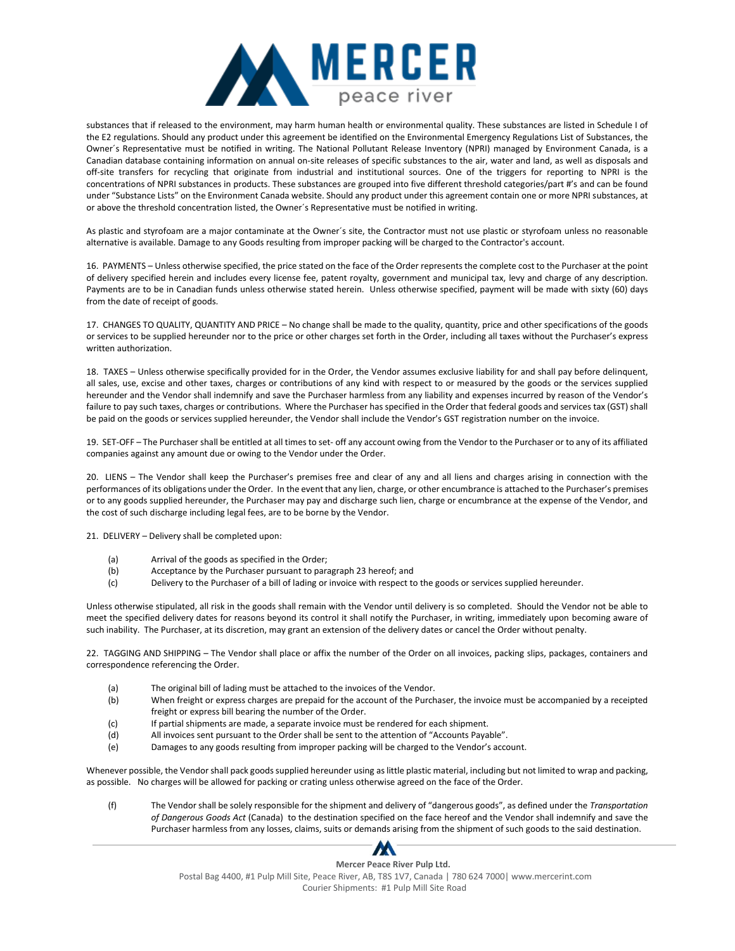

substances that if released to the environment, may harm human health or environmental quality. These substances are listed in Schedule I of the E2 regulations. Should any product under this agreement be identified on the Environmental Emergency Regulations List of Substances, the Owner´s Representative must be notified in writing. The National Pollutant Release Inventory (NPRI) managed by Environment Canada, is a Canadian database containing information on annual on‐site releases of specific substances to the air, water and land, as well as disposals and off‐site transfers for recycling that originate from industrial and institutional sources. One of the triggers for reporting to NPRI is the concentrations of NPRI substances in products. These substances are grouped into five different threshold categories/part #'s and can be found under "Substance Lists" on the Environment Canada website. Should any product under this agreement contain one or more NPRI substances, at or above the threshold concentration listed, the Owner´s Representative must be notified in writing.

As plastic and styrofoam are a major contaminate at the Owner´s site, the Contractor must not use plastic or styrofoam unless no reasonable alternative is available. Damage to any Goods resulting from improper packing will be charged to the Contractor's account.

16. PAYMENTS – Unless otherwise specified, the price stated on the face of the Order represents the complete cost to the Purchaser at the point of delivery specified herein and includes every license fee, patent royalty, government and municipal tax, levy and charge of any description. Payments are to be in Canadian funds unless otherwise stated herein. Unless otherwise specified, payment will be made with sixty (60) days from the date of receipt of goods.

17. CHANGES TO QUALITY, QUANTITY AND PRICE – No change shall be made to the quality, quantity, price and other specifications of the goods or services to be supplied hereunder nor to the price or other charges set forth in the Order, including all taxes without the Purchaser's express written authorization.

18. TAXES – Unless otherwise specifically provided for in the Order, the Vendor assumes exclusive liability for and shall pay before delinquent, all sales, use, excise and other taxes, charges or contributions of any kind with respect to or measured by the goods or the services supplied hereunder and the Vendor shall indemnify and save the Purchaser harmless from any liability and expenses incurred by reason of the Vendor's failure to pay such taxes, charges or contributions. Where the Purchaser has specified in the Order that federal goods and services tax (GST) shall be paid on the goods or services supplied hereunder, the Vendor shall include the Vendor's GST registration number on the invoice.

19. SET-OFF – The Purchaser shall be entitled at all times to set- off any account owing from the Vendor to the Purchaser or to any of its affiliated companies against any amount due or owing to the Vendor under the Order.

20. LIENS – The Vendor shall keep the Purchaser's premises free and clear of any and all liens and charges arising in connection with the performances of its obligations under the Order. In the event that any lien, charge, or other encumbrance is attached to the Purchaser's premises or to any goods supplied hereunder, the Purchaser may pay and discharge such lien, charge or encumbrance at the expense of the Vendor, and the cost of such discharge including legal fees, are to be borne by the Vendor.

21. DELIVERY – Delivery shall be completed upon:

- (a) Arrival of the goods as specified in the Order;
- (b) Acceptance by the Purchaser pursuant to paragraph 23 hereof; and
- (c) Delivery to the Purchaser of a bill of lading or invoice with respect to the goods or services supplied hereunder.

Unless otherwise stipulated, all risk in the goods shall remain with the Vendor until delivery is so completed. Should the Vendor not be able to meet the specified delivery dates for reasons beyond its control it shall notify the Purchaser, in writing, immediately upon becoming aware of such inability. The Purchaser, at its discretion, may grant an extension of the delivery dates or cancel the Order without penalty.

22. TAGGING AND SHIPPING – The Vendor shall place or affix the number of the Order on all invoices, packing slips, packages, containers and correspondence referencing the Order.

- (a) The original bill of lading must be attached to the invoices of the Vendor.
- (b) When freight or express charges are prepaid for the account of the Purchaser, the invoice must be accompanied by a receipted freight or express bill bearing the number of the Order.
- (c) If partial shipments are made, a separate invoice must be rendered for each shipment.
- (d) All invoices sent pursuant to the Order shall be sent to the attention of "Accounts Payable".
- (e) Damages to any goods resulting from improper packing will be charged to the Vendor's account.

Whenever possible, the Vendor shall pack goods supplied hereunder using as little plastic material, including but not limited to wrap and packing, as possible. No charges will be allowed for packing or crating unless otherwise agreed on the face of the Order.

(f) The Vendor shall be solely responsible for the shipment and delivery of "dangerous goods", as defined under the *Transportation of Dangerous Goods Act* (Canada) to the destination specified on the face hereof and the Vendor shall indemnify and save the Purchaser harmless from any losses, claims, suits or demands arising from the shipment of such goods to the said destination.

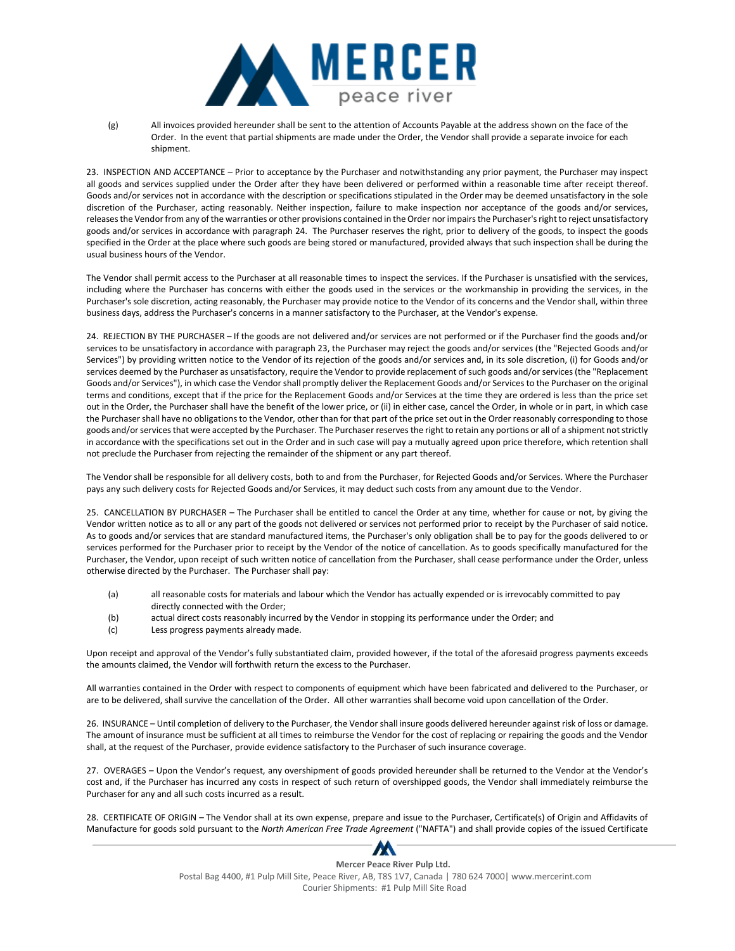

(g) All invoices provided hereunder shall be sent to the attention of Accounts Payable at the address shown on the face of the Order. In the event that partial shipments are made under the Order, the Vendor shall provide a separate invoice for each shipment.

23. INSPECTION AND ACCEPTANCE – Prior to acceptance by the Purchaser and notwithstanding any prior payment, the Purchaser may inspect all goods and services supplied under the Order after they have been delivered or performed within a reasonable time after receipt thereof. Goods and/or services not in accordance with the description or specifications stipulated in the Order may be deemed unsatisfactory in the sole discretion of the Purchaser, acting reasonably. Neither inspection, failure to make inspection nor acceptance of the goods and/or services, releases the Vendor from any of the warranties or other provisions contained in the Order nor impairs the Purchaser's right to reject unsatisfactory goods and/or services in accordance with paragraph 24. The Purchaser reserves the right, prior to delivery of the goods, to inspect the goods specified in the Order at the place where such goods are being stored or manufactured, provided always that such inspection shall be during the usual business hours of the Vendor.

The Vendor shall permit access to the Purchaser at all reasonable times to inspect the services. If the Purchaser is unsatisfied with the services, including where the Purchaser has concerns with either the goods used in the services or the workmanship in providing the services, in the Purchaser's sole discretion, acting reasonably, the Purchaser may provide notice to the Vendor of its concerns and the Vendor shall, within three business days, address the Purchaser's concerns in a manner satisfactory to the Purchaser, at the Vendor's expense.

24. REJECTION BY THE PURCHASER – If the goods are not delivered and/or services are not performed or if the Purchaser find the goods and/or services to be unsatisfactory in accordance with paragraph 23, the Purchaser may reject the goods and/or services (the "Rejected Goods and/or Services") by providing written notice to the Vendor of its rejection of the goods and/or services and, in its sole discretion, (i) for Goods and/or services deemed by the Purchaser as unsatisfactory, require the Vendor to provide replacement of such goods and/or services (the "Replacement Goods and/or Services"), in which case the Vendor shall promptly deliver the Replacement Goods and/or Services to the Purchaser on the original terms and conditions, except that if the price for the Replacement Goods and/or Services at the time they are ordered is less than the price set out in the Order, the Purchaser shall have the benefit of the lower price, or (ii) in either case, cancel the Order, in whole or in part, in which case the Purchaser shall have no obligations to the Vendor, other than for that part of the price set out in the Order reasonably corresponding to those goods and/or services that were accepted by the Purchaser. The Purchaser reserves the right to retain any portions or all of a shipment not strictly in accordance with the specifications set out in the Order and in such case will pay a mutually agreed upon price therefore, which retention shall not preclude the Purchaser from rejecting the remainder of the shipment or any part thereof.

The Vendor shall be responsible for all delivery costs, both to and from the Purchaser, for Rejected Goods and/or Services. Where the Purchaser pays any such delivery costs for Rejected Goods and/or Services, it may deduct such costs from any amount due to the Vendor.

25. CANCELLATION BY PURCHASER – The Purchaser shall be entitled to cancel the Order at any time, whether for cause or not, by giving the Vendor written notice as to all or any part of the goods not delivered or services not performed prior to receipt by the Purchaser of said notice. As to goods and/or services that are standard manufactured items, the Purchaser's only obligation shall be to pay for the goods delivered to or services performed for the Purchaser prior to receipt by the Vendor of the notice of cancellation. As to goods specifically manufactured for the Purchaser, the Vendor, upon receipt of such written notice of cancellation from the Purchaser, shall cease performance under the Order, unless otherwise directed by the Purchaser. The Purchaser shall pay:

- (a) all reasonable costs for materials and labour which the Vendor has actually expended or is irrevocably committed to pay directly connected with the Order;
- (b) actual direct costs reasonably incurred by the Vendor in stopping its performance under the Order; and
- (c) Less progress payments already made.

Upon receipt and approval of the Vendor's fully substantiated claim, provided however, if the total of the aforesaid progress payments exceeds the amounts claimed, the Vendor will forthwith return the excess to the Purchaser.

All warranties contained in the Order with respect to components of equipment which have been fabricated and delivered to the Purchaser, or are to be delivered, shall survive the cancellation of the Order. All other warranties shall become void upon cancellation of the Order.

26. INSURANCE – Until completion of delivery to the Purchaser, the Vendor shall insure goods delivered hereunder against risk of loss or damage. The amount of insurance must be sufficient at all times to reimburse the Vendor for the cost of replacing or repairing the goods and the Vendor shall, at the request of the Purchaser, provide evidence satisfactory to the Purchaser of such insurance coverage.

27. OVERAGES – Upon the Vendor's request, any overshipment of goods provided hereunder shall be returned to the Vendor at the Vendor's cost and, if the Purchaser has incurred any costs in respect of such return of overshipped goods, the Vendor shall immediately reimburse the Purchaser for any and all such costs incurred as a result.

28. CERTIFICATE OF ORIGIN – The Vendor shall at its own expense, prepare and issue to the Purchaser, Certificate(s) of Origin and Affidavits of Manufacture for goods sold pursuant to the *North American Free Trade Agreement* ("NAFTA") and shall provide copies of the issued Certificate

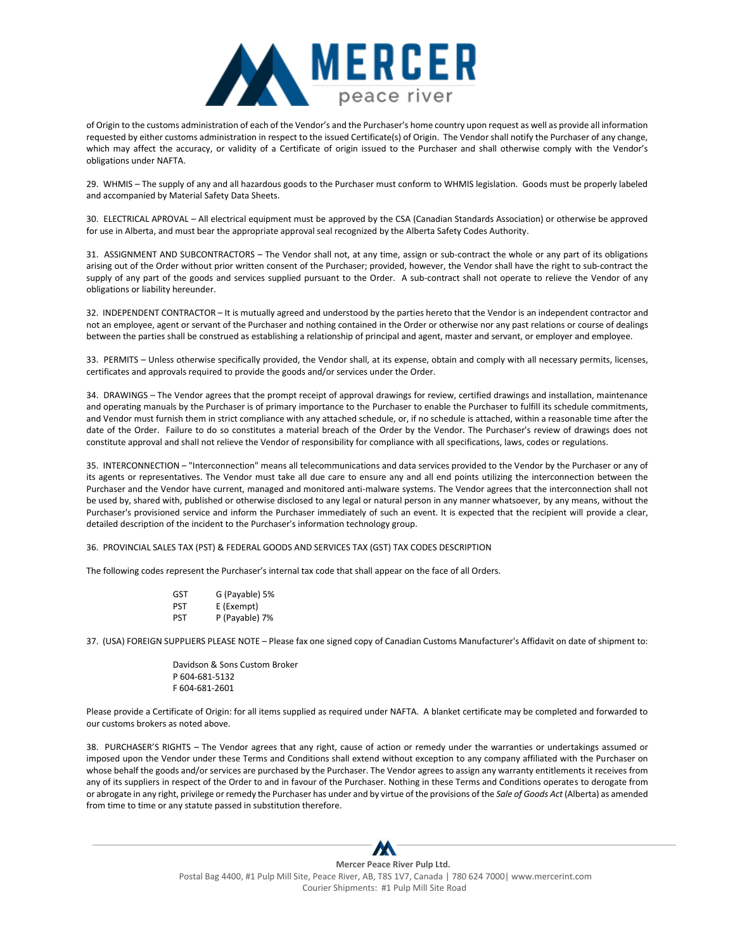

of Origin to the customs administration of each of the Vendor's and the Purchaser's home country upon request as well as provide all information requested by either customs administration in respect to the issued Certificate(s) of Origin. The Vendor shall notify the Purchaser of any change, which may affect the accuracy, or validity of a Certificate of origin issued to the Purchaser and shall otherwise comply with the Vendor's obligations under NAFTA.

29. WHMIS – The supply of any and all hazardous goods to the Purchaser must conform to WHMIS legislation. Goods must be properly labeled and accompanied by Material Safety Data Sheets.

30. ELECTRICAL APROVAL – All electrical equipment must be approved by the CSA (Canadian Standards Association) or otherwise be approved for use in Alberta, and must bear the appropriate approval seal recognized by the Alberta Safety Codes Authority.

31. ASSIGNMENT AND SUBCONTRACTORS – The Vendor shall not, at any time, assign or sub-contract the whole or any part of its obligations arising out of the Order without prior written consent of the Purchaser; provided, however, the Vendor shall have the right to sub-contract the supply of any part of the goods and services supplied pursuant to the Order. A sub-contract shall not operate to relieve the Vendor of any obligations or liability hereunder.

32. INDEPENDENT CONTRACTOR – It is mutually agreed and understood by the parties hereto that the Vendor is an independent contractor and not an employee, agent or servant of the Purchaser and nothing contained in the Order or otherwise nor any past relations or course of dealings between the parties shall be construed as establishing a relationship of principal and agent, master and servant, or employer and employee.

33. PERMITS – Unless otherwise specifically provided, the Vendor shall, at its expense, obtain and comply with all necessary permits, licenses, certificates and approvals required to provide the goods and/or services under the Order.

34. DRAWINGS – The Vendor agrees that the prompt receipt of approval drawings for review, certified drawings and installation, maintenance and operating manuals by the Purchaser is of primary importance to the Purchaser to enable the Purchaser to fulfill its schedule commitments, and Vendor must furnish them in strict compliance with any attached schedule, or, if no schedule is attached, within a reasonable time after the date of the Order. Failure to do so constitutes a material breach of the Order by the Vendor. The Purchaser's review of drawings does not constitute approval and shall not relieve the Vendor of responsibility for compliance with all specifications, laws, codes or regulations.

35. INTERCONNECTION – "Interconnection" means all telecommunications and data services provided to the Vendor by the Purchaser or any of its agents or representatives. The Vendor must take all due care to ensure any and all end points utilizing the interconnection between the Purchaser and the Vendor have current, managed and monitored anti-malware systems. The Vendor agrees that the interconnection shall not be used by, shared with, published or otherwise disclosed to any legal or natural person in any manner whatsoever, by any means, without the Purchaser's provisioned service and inform the Purchaser immediately of such an event. It is expected that the recipient will provide a clear, detailed description of the incident to the Purchaser's information technology group.

36. PROVINCIAL SALES TAX (PST) & FEDERAL GOODS AND SERVICES TAX (GST) TAX CODES DESCRIPTION

The following codes represent the Purchaser's internal tax code that shall appear on the face of all Orders.

| GST | G (Payable) 5% |
|-----|----------------|
| PST | E (Exempt)     |

PST P (Payable) 7%

37. (USA) FOREIGN SUPPLIERS PLEASE NOTE – Please fax one signed copy of Canadian Customs Manufacturer's Affidavit on date of shipment to:

Davidson & Sons Custom Broker P 604-681-5132 F 604-681-2601

Please provide a Certificate of Origin: for all items supplied as required under NAFTA. A blanket certificate may be completed and forwarded to our customs brokers as noted above.

38. PURCHASER'S RIGHTS – The Vendor agrees that any right, cause of action or remedy under the warranties or undertakings assumed or imposed upon the Vendor under these Terms and Conditions shall extend without exception to any company affiliated with the Purchaser on whose behalf the goods and/or services are purchased by the Purchaser. The Vendor agrees to assign any warranty entitlements it receives from any of its suppliers in respect of the Order to and in favour of the Purchaser. Nothing in these Terms and Conditions operates to derogate from or abrogate in any right, privilege or remedy the Purchaser has under and by virtue of the provisions of the *Sale of Goods Act* (Alberta) as amended from time to time or any statute passed in substitution therefore.